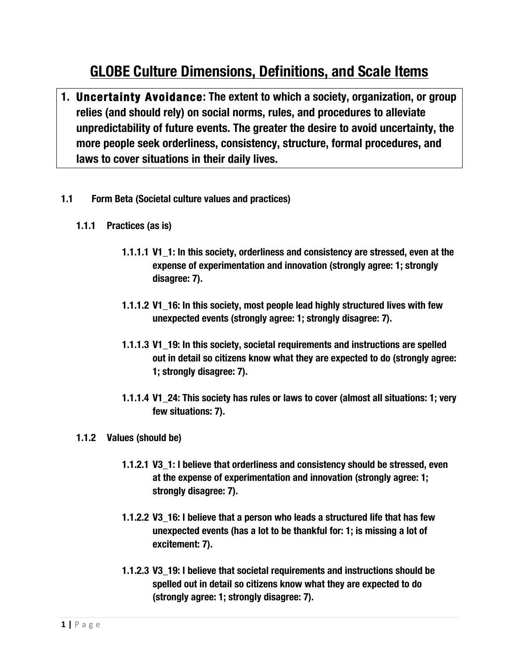# **GLOBE Culture Dimensions, Definitions, and Scale Items**

- **1. Uncertainty Avoidance: The extent to which a society, organization, or group relies (and should rely) on social norms, rules, and procedures to alleviate unpredictability of future events. The greater the desire to avoid uncertainty, the more people seek orderliness, consistency, structure, formal procedures, and laws to cover situations in their daily lives.**
- **1.1 Form Beta (Societal culture values and practices)**
	- **1.1.1 Practices (as is)**
		- **1.1.1.1 V1\_1: In this society, orderliness and consistency are stressed, even at the expense of experimentation and innovation (strongly agree: 1; strongly disagree: 7).**
		- **1.1.1.2 V1\_16: In this society, most people lead highly structured lives with few unexpected events (strongly agree: 1; strongly disagree: 7).**
		- **1.1.1.3 V1\_19: In this society, societal requirements and instructions are spelled out in detail so citizens know what they are expected to do (strongly agree: 1; strongly disagree: 7).**
		- **1.1.1.4 V1\_24: This society has rules or laws to cover (almost all situations: 1; very few situations: 7).**
	- **1.1.2 Values (should be)**
		- **1.1.2.1 V3\_1: I believe that orderliness and consistency should be stressed, even at the expense of experimentation and innovation (strongly agree: 1; strongly disagree: 7).**
		- **1.1.2.2 V3\_16: I believe that a person who leads a structured life that has few unexpected events (has a lot to be thankful for: 1; is missing a lot of excitement: 7).**
		- **1.1.2.3 V3\_19: I believe that societal requirements and instructions should be spelled out in detail so citizens know what they are expected to do (strongly agree: 1; strongly disagree: 7).**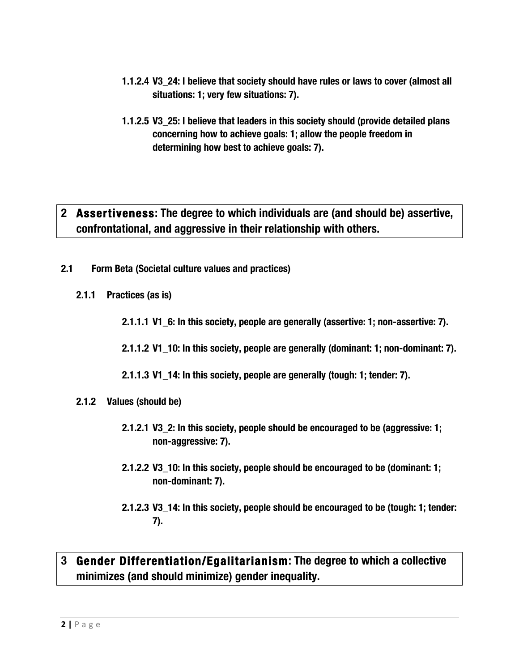- **1.1.2.4 V3\_24: I believe that society should have rules or laws to cover (almost all situations: 1; very few situations: 7).**
- **1.1.2.5 V3\_25: I believe that leaders in this society should (provide detailed plans concerning how to achieve goals: 1; allow the people freedom in determining how best to achieve goals: 7).**

## **2 Assertiveness: The degree to which individuals are (and should be) assertive, confrontational, and aggressive in their relationship with others.**

- **2.1 Form Beta (Societal culture values and practices)**
	- **2.1.1 Practices (as is)**

**2.1.1.1 V1\_6: In this society, people are generally (assertive: 1; non-assertive: 7).**

**2.1.1.2 V1\_10: In this society, people are generally (dominant: 1; non-dominant: 7).**

**2.1.1.3 V1\_14: In this society, people are generally (tough: 1; tender: 7).**

- **2.1.2 Values (should be)**
	- **2.1.2.1 V3\_2: In this society, people should be encouraged to be (aggressive: 1; non-aggressive: 7).**
	- **2.1.2.2 V3\_10: In this society, people should be encouraged to be (dominant: 1; non-dominant: 7).**
	- **2.1.2.3 V3\_14: In this society, people should be encouraged to be (tough: 1; tender: 7).**

## **3 Gender Differentiation/Egalitarianism: The degree to which a collective minimizes (and should minimize) gender inequality.**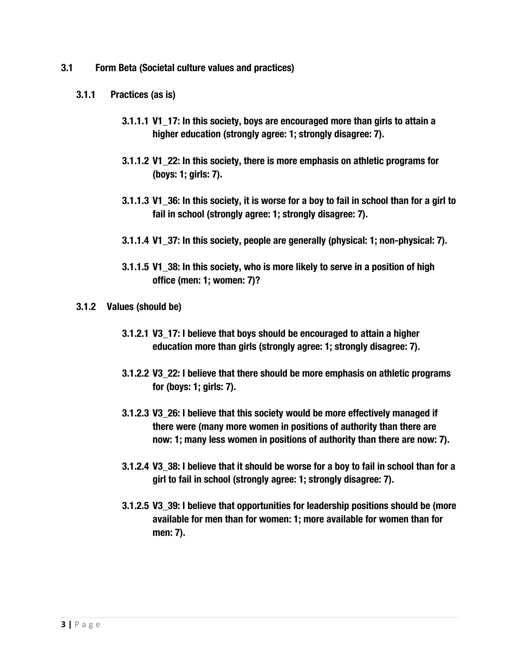- **3.1 Form Beta (Societal culture values and practices)**
	- **3.1.1 Practices (as is)**
		- **3.1.1.1 V1\_17: In this society, boys are encouraged more than girls to attain a higher education (strongly agree: 1; strongly disagree: 7).**
		- **3.1.1.2 V1\_22: In this society, there is more emphasis on athletic programs for (boys: 1; girls: 7).**
		- **3.1.1.3 V1\_36: In this society, it is worse for a boy to fail in school than for a girl to fail in school (strongly agree: 1; strongly disagree: 7).**
		- **3.1.1.4 V1\_37: In this society, people are generally (physical: 1; non-physical: 7).**
		- **3.1.1.5 V1\_38: In this society, who is more likely to serve in a position of high office (men: 1; women: 7)?**
	- **3.1.2 Values (should be)**
		- **3.1.2.1 V3\_17: I believe that boys should be encouraged to attain a higher education more than girls (strongly agree: 1; strongly disagree: 7).**
		- **3.1.2.2 V3\_22: I believe that there should be more emphasis on athletic programs for (boys: 1; girls: 7).**
		- **3.1.2.3 V3\_26: I believe that this society would be more effectively managed if there were (many more women in positions of authority than there are now: 1; many less women in positions of authority than there are now: 7).**
		- **3.1.2.4 V3\_38: I believe that it should be worse for a boy to fail in school than for a girl to fail in school (strongly agree: 1; strongly disagree: 7).**
		- **3.1.2.5 V3\_39: I believe that opportunities for leadership positions should be (more available for men than for women: 1; more available for women than for men: 7).**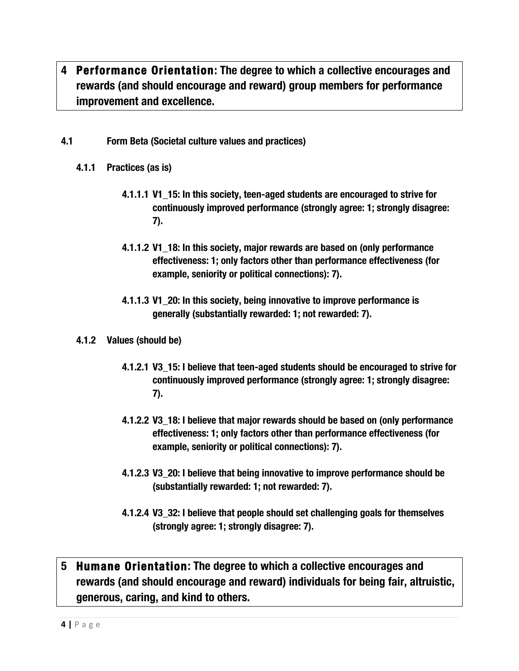- **4 Performance Orientation: The degree to which a collective encourages and rewards (and should encourage and reward) group members for performance improvement and excellence.**
- **4.1 Form Beta (Societal culture values and practices)**
	- **4.1.1 Practices (as is)**
		- **4.1.1.1 V1\_15: In this society, teen-aged students are encouraged to strive for continuously improved performance (strongly agree: 1; strongly disagree: 7).**
		- **4.1.1.2 V1\_18: In this society, major rewards are based on (only performance effectiveness: 1; only factors other than performance effectiveness (for example, seniority or political connections): 7).**
		- **4.1.1.3 V1\_20: In this society, being innovative to improve performance is generally (substantially rewarded: 1; not rewarded: 7).**
	- **4.1.2 Values (should be)**
		- **4.1.2.1 V3\_15: I believe that teen-aged students should be encouraged to strive for continuously improved performance (strongly agree: 1; strongly disagree: 7).**
		- **4.1.2.2 V3\_18: I believe that major rewards should be based on (only performance effectiveness: 1; only factors other than performance effectiveness (for example, seniority or political connections): 7).**
		- **4.1.2.3 V3\_20: I believe that being innovative to improve performance should be (substantially rewarded: 1; not rewarded: 7).**
		- **4.1.2.4 V3\_32: I believe that people should set challenging goals for themselves (strongly agree: 1; strongly disagree: 7).**

#### **5 Humane Orientation: The degree to which a collective encourages and rewards (and should encourage and reward) individuals for being fair, altruistic, generous, caring, and kind to others.**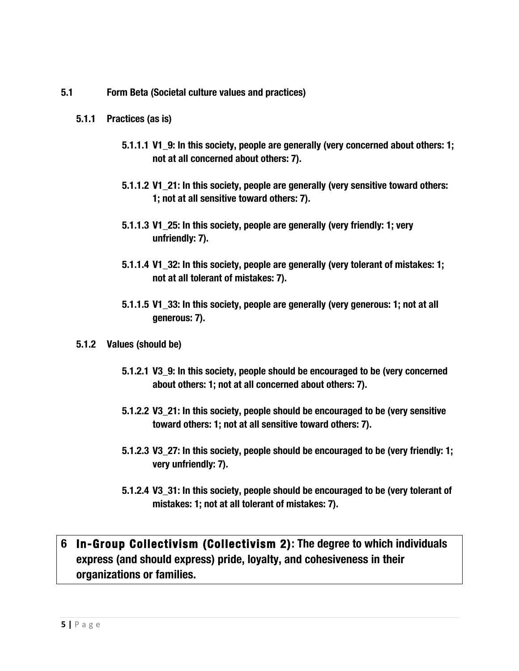**5.1 Form Beta (Societal culture values and practices)**

#### **5.1.1 Practices (as is)**

- **5.1.1.1 V1\_9: In this society, people are generally (very concerned about others: 1; not at all concerned about others: 7).**
- **5.1.1.2 V1\_21: In this society, people are generally (very sensitive toward others: 1; not at all sensitive toward others: 7).**
- **5.1.1.3 V1\_25: In this society, people are generally (very friendly: 1; very unfriendly: 7).**
- **5.1.1.4 V1\_32: In this society, people are generally (very tolerant of mistakes: 1; not at all tolerant of mistakes: 7).**
- **5.1.1.5 V1\_33: In this society, people are generally (very generous: 1; not at all generous: 7).**
- **5.1.2 Values (should be)**
	- **5.1.2.1 V3\_9: In this society, people should be encouraged to be (very concerned about others: 1; not at all concerned about others: 7).**
	- **5.1.2.2 V3\_21: In this society, people should be encouraged to be (very sensitive toward others: 1; not at all sensitive toward others: 7).**
	- **5.1.2.3 V3\_27: In this society, people should be encouraged to be (very friendly: 1; very unfriendly: 7).**
	- **5.1.2.4 V3\_31: In this society, people should be encouraged to be (very tolerant of mistakes: 1; not at all tolerant of mistakes: 7).**

## **6 In-Group Collectivism (Collectivism 2): The degree to which individuals express (and should express) pride, loyalty, and cohesiveness in their organizations or families.**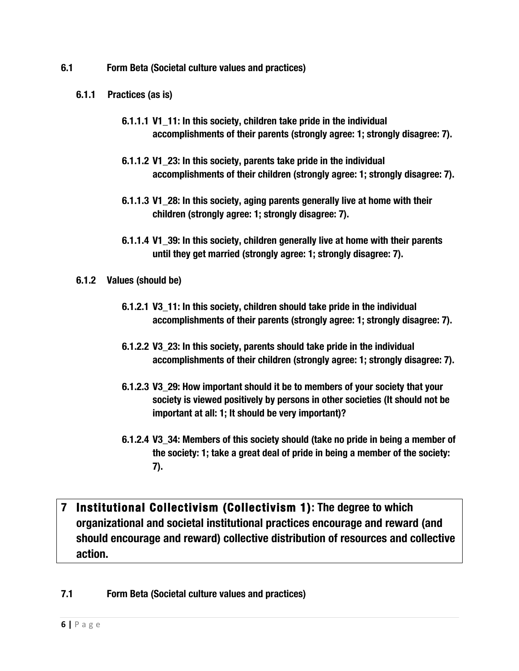- **6.1 Form Beta (Societal culture values and practices)**
	- **6.1.1 Practices (as is)**
		- **6.1.1.1 V1\_11: In this society, children take pride in the individual accomplishments of their parents (strongly agree: 1; strongly disagree: 7).**
		- **6.1.1.2 V1\_23: In this society, parents take pride in the individual accomplishments of their children (strongly agree: 1; strongly disagree: 7).**
		- **6.1.1.3 V1\_28: In this society, aging parents generally live at home with their children (strongly agree: 1; strongly disagree: 7).**
		- **6.1.1.4 V1\_39: In this society, children generally live at home with their parents until they get married (strongly agree: 1; strongly disagree: 7).**
	- **6.1.2 Values (should be)**
		- **6.1.2.1 V3\_11: In this society, children should take pride in the individual accomplishments of their parents (strongly agree: 1; strongly disagree: 7).**
		- **6.1.2.2 V3\_23: In this society, parents should take pride in the individual accomplishments of their children (strongly agree: 1; strongly disagree: 7).**
		- **6.1.2.3 V3\_29: How important should it be to members of your society that your society is viewed positively by persons in other societies (It should not be important at all: 1; It should be very important)?**
		- **6.1.2.4 V3\_34: Members of this society should (take no pride in being a member of the society: 1; take a great deal of pride in being a member of the society: 7).**
- **7 Institutional Collectivism (Collectivism 1): The degree to which organizational and societal institutional practices encourage and reward (and should encourage and reward) collective distribution of resources and collective action.**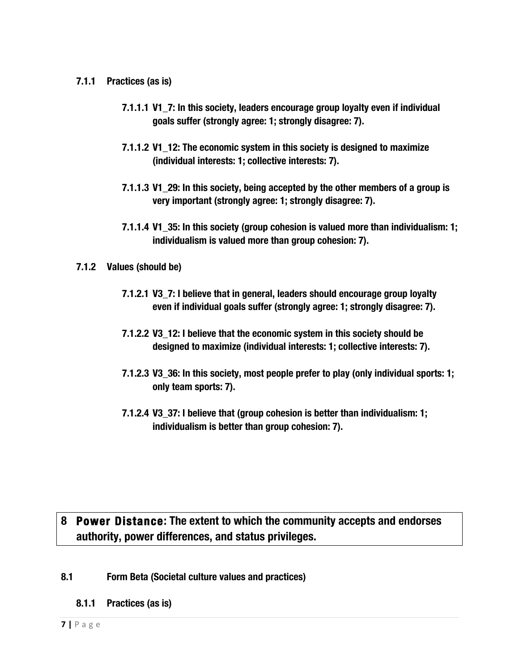- **7.1.1 Practices (as is)**
	- **7.1.1.1 V1\_7: In this society, leaders encourage group loyalty even if individual goals suffer (strongly agree: 1; strongly disagree: 7).**
	- **7.1.1.2 V1\_12: The economic system in this society is designed to maximize (individual interests: 1; collective interests: 7).**
	- **7.1.1.3 V1\_29: In this society, being accepted by the other members of a group is very important (strongly agree: 1; strongly disagree: 7).**
	- **7.1.1.4 V1\_35: In this society (group cohesion is valued more than individualism: 1; individualism is valued more than group cohesion: 7).**
- **7.1.2 Values (should be)**
	- **7.1.2.1 V3\_7: I believe that in general, leaders should encourage group loyalty even if individual goals suffer (strongly agree: 1; strongly disagree: 7).**
	- **7.1.2.2 V3\_12: I believe that the economic system in this society should be designed to maximize (individual interests: 1; collective interests: 7).**
	- **7.1.2.3 V3\_36: In this society, most people prefer to play (only individual sports: 1; only team sports: 7).**
	- **7.1.2.4 V3\_37: I believe that (group cohesion is better than individualism: 1; individualism is better than group cohesion: 7).**

## **8 Power Distance: The extent to which the community accepts and endorses authority, power differences, and status privileges.**

- **8.1 Form Beta (Societal culture values and practices)**
	- **8.1.1 Practices (as is)**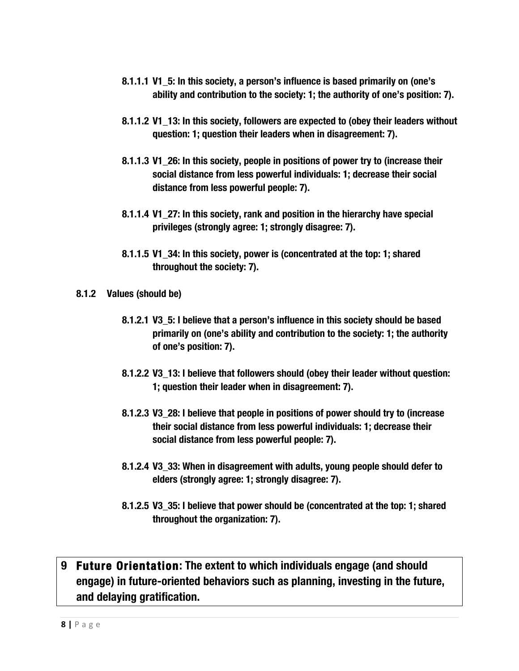- **8.1.1.1 V1\_5: In this society, a person's influence is based primarily on (one's ability and contribution to the society: 1; the authority of one's position: 7).**
- **8.1.1.2 V1\_13: In this society, followers are expected to (obey their leaders without question: 1; question their leaders when in disagreement: 7).**
- **8.1.1.3 V1\_26: In this society, people in positions of power try to (increase their social distance from less powerful individuals: 1; decrease their social distance from less powerful people: 7).**
- **8.1.1.4 V1\_27: In this society, rank and position in the hierarchy have special privileges (strongly agree: 1; strongly disagree: 7).**
- **8.1.1.5 V1\_34: In this society, power is (concentrated at the top: 1; shared throughout the society: 7).**
- **8.1.2 Values (should be)**
	- **8.1.2.1 V3\_5: I believe that a person's influence in this society should be based primarily on (one's ability and contribution to the society: 1; the authority of one's position: 7).**
	- **8.1.2.2 V3\_13: I believe that followers should (obey their leader without question: 1; question their leader when in disagreement: 7).**
	- **8.1.2.3 V3\_28: I believe that people in positions of power should try to (increase their social distance from less powerful individuals: 1; decrease their social distance from less powerful people: 7).**
	- **8.1.2.4 V3\_33: When in disagreement with adults, young people should defer to elders (strongly agree: 1; strongly disagree: 7).**
	- **8.1.2.5 V3\_35: I believe that power should be (concentrated at the top: 1; shared throughout the organization: 7).**

## **9 Future Orientation: The extent to which individuals engage (and should engage) in future-oriented behaviors such as planning, investing in the future, and delaying gratification.**